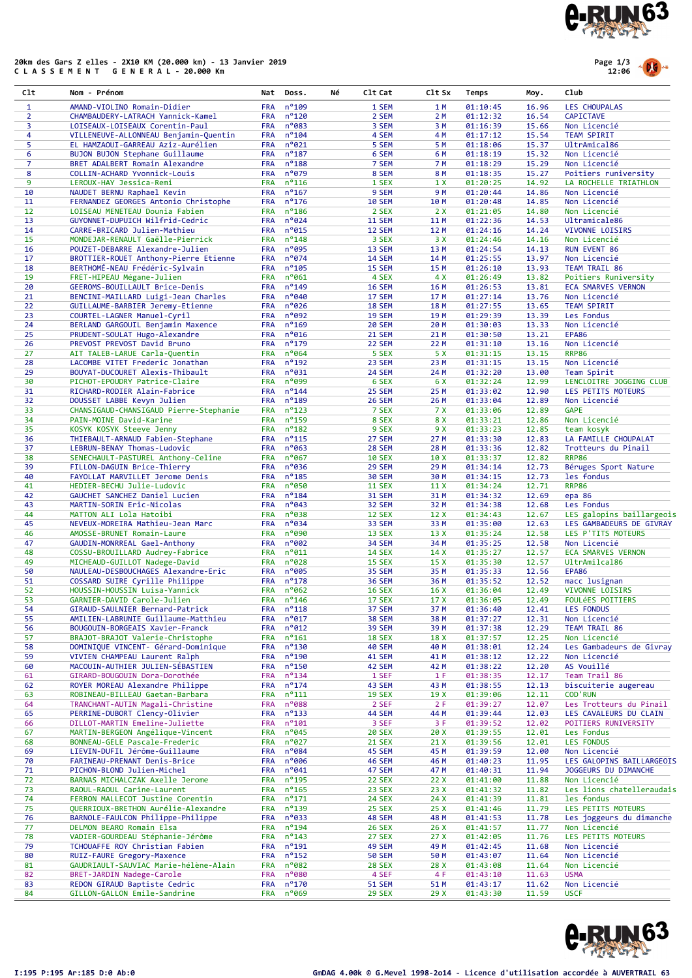

## 20km des Gars Z elles - 2X10 KM (20.000 km) - 13 Janvier 2019 C L A S S E M E N T G E N E R A L - 20.000 Km



| Clt            | Nom - Prénom                                                            | Nat                      | Doss.                  | C1t Cat<br>Νé                  | C1t Sx       | Temps                | Moy.           | Club                                     |
|----------------|-------------------------------------------------------------------------|--------------------------|------------------------|--------------------------------|--------------|----------------------|----------------|------------------------------------------|
| $\mathbf{1}$   | AMAND-VIOLINO Romain-Didier                                             | <b>FRA</b>               | $n^{\circ}$ 109        | 1 SEM                          | 1 M          | 01:10:45             | 16.96          | <b>LES CHOUPALAS</b>                     |
| $\overline{2}$ | CHAMBAUDERY-LATRACH Yannick-Kamel                                       | <b>FRA</b>               | $n^{\circ}$ 120        | 2 SEM                          | 2 M          | 01:12:32             | 16.54          | <b>CAPICTAVE</b>                         |
| 3              | LOISEAUX-LOISEAUX Corentin-Paul                                         | <b>FRA</b>               | n°083                  | 3 SEM                          | 3 M          | 01:16:39             | 15.66          | Non Licencié                             |
| 4              | VILLENEUVE-ALLONNEAU Benjamin-Quentin                                   | <b>FRA</b>               | $n^{\circ}104$         | 4 SEM                          | 4 M          | 01:17:12             | 15.54          | <b>TEAM SPIRIT</b>                       |
| 5              | EL HAMZAOUI-GARREAU Aziz-Aurélien                                       | <b>FRA</b>               | $n^{\circ}021$         | 5 SEM                          | 5 M          | 01:18:06             | 15.37          | UltrAmical86                             |
| 6              | BUJON BUJON Stephane Guillaume                                          | <b>FRA</b>               | $n^o$ 187              | 6 SEM                          | 6 M          | 01:18:19             | 15.32          | Non Licencié                             |
| $\overline{7}$ | BRET ADALBERT Romain Alexandre                                          | <b>FRA</b>               | $n^o$ 188              | 7 SEM                          | 7 M          | 01:18:29             | 15.29          | Non Licencié                             |
| 8              | COLLIN-ACHARD Yvonnick-Louis                                            | <b>FRA</b>               | $n^{\circ}079$         | 8 SEM                          | 8 M          | 01:18:35             | 15.27          | Poitiers runiversity                     |
| 9              | LEROUX-HAY Jessica-Remi                                                 | <b>FRA</b>               | $n^o$ 116              | 1 SEX                          | 1 X          | 01:20:25             | 14.92          | LA ROCHELLE TRIATHLON                    |
| 10             | NAUDET BERNU Raphael Kevin                                              | <b>FRA</b>               | $n^o$ 167              | 9 SEM                          | 9 M          | 01:20:44             | 14.86          | Non Licencié                             |
| 11             | FERNANDEZ GEORGES Antonio Christophe                                    | <b>FRA</b>               | $n^o$ 176              | <b>10 SEM</b>                  | 10 M         | 01:20:48             | 14.85          | Non Licencié                             |
| 12             | LOISEAU MENETEAU Dounia Fabien                                          | <b>FRA</b>               | $n^o$ 186              | 2 SEX                          | 2X           | 01:21:05             | 14.80          | Non Licencié                             |
| 13             | GUYONNET-DUPUICH Wilfrid-Cedric                                         | <b>FRA</b>               | $n^{\circ}024$         | <b>11 SEM</b>                  | 11 M         | 01:22:36             | 14.53          | Ultramicale86                            |
| 14             | CARRE-BRICARD Julien-Mathieu                                            | <b>FRA</b>               | $n^{\circ}$ 015        | 12 SEM                         | 12 M         | 01:24:16             | 14.24          | VIVONNE LOISIRS                          |
| 15             | MONDEJAR-RENAULT Gaëlle-Pierrick                                        | <b>FRA</b>               | $n^o$ 148              | 3 SEX                          | 3 X          | 01:24:46             | 14.16          | Non Licencié                             |
| 16             | POUZET-DEBARRE Alexandre-Julien                                         | <b>FRA</b>               | n°095                  | 13 SEM                         | 13 M         | 01:24:54             | 14.13          | RUN EVENT 86                             |
| 17             | BROTTIER-ROUET Anthony-Pierre Etienne                                   | <b>FRA</b>               | $n^{\circ}074$         | <b>14 SEM</b>                  | 14 M         | 01:25:55             | 13.97          | Non Licencié                             |
| 18             | BERTHOMÉ-NEAU Frédéric-Sylvain                                          | <b>FRA</b>               | $n^o$ 105              | 15 SEM                         | 15 M         | 01:26:10             | 13.93          | TEAM TRAIL 86                            |
| 19             | FRET-HIPEAU Mégane-Julien                                               | <b>FRA</b>               | $n^o$ 061              | 4 SEX                          | 4 X          | 01:26:49             | 13.82          | Poitiers Runiversity                     |
| 20             | GEEROMS-BOUILLAULT Brice-Denis                                          | <b>FRA</b>               | $n^o$ 149              | <b>16 SEM</b>                  | 16 M         | 01:26:53             | 13.81          | <b>ECA SMARVES VERNON</b>                |
| 21             | BENCINI-MAILLARD Luigi-Jean Charles                                     | <b>FRA</b>               | n°040                  | 17 SEM                         | 17 M         | 01:27:14             | 13.76          | Non Licencié                             |
| 22             | GUILLAUME-BARBIER Jeremy-Etienne                                        | <b>FRA</b>               | $n^{\circ}$ 026        | <b>18 SEM</b>                  | 18 M         | 01:27:55             | 13.65          | <b>TEAM SPIRIT</b>                       |
| 23             | COURTEL-LAGNER Manuel-Cyril                                             | <b>FRA</b>               | n°092                  | <b>19 SEM</b>                  | 19 M         | 01:29:39             | 13.39          | Les Fondus                               |
| 24             | BERLAND GARGOUIL Benjamin Maxence                                       | <b>FRA</b>               | $n^o$ 169              | <b>20 SEM</b>                  | 20 M         | 01:30:03             | 13.33          | Non Licencié                             |
| 25             | PRUDENT-SOULAT Hugo-Alexandre                                           | <b>FRA</b>               | $n^o$ 016              | <b>21 SEM</b>                  | 21 M         | 01:30:50             | 13.21          | EPA86                                    |
| 26             | PREVOST PREVOST David Bruno                                             | <b>FRA</b>               | $n^o$ 179              | 22 SEM                         | 22 M         | 01:31:10             | 13.16          | Non Licencié                             |
| 27             | AIT TALEB-LARUE Carla-Quentin                                           | <b>FRA</b>               | $n^{\circ}064$         | 5 SEX                          | 5 X          | 01:31:15             | 13.15          | <b>RRP86</b>                             |
| 28             | LACOMBE VITET Frederic Jonathan                                         | <b>FRA</b>               | $n^o$ 192              | 23 SEM                         | 23 M         | 01:31:15             | 13.15          | Non Licencié                             |
| 29             | BOUYAT-DUCOURET Alexis-Thibault                                         | <b>FRA</b>               | $n^o$ 031              | <b>24 SEM</b>                  | 24 M         | 01:32:20             | 13.00          | Team Spirit                              |
| 30             | PICHOT-EPOUDRY Patrice-Claire                                           | <b>FRA</b>               | $n°$ 099               | 6 SEX                          | 6 X          | 01:32:24             | 12.99          | LENCLOITRE JOGGING CLUB                  |
| 31             | RICHARD-RODIER Alain-Fabrice                                            | <b>FRA</b>               | $n^{\circ}$ 144        | 25 SEM                         | 25 M         | 01:33:02             | 12.90          | LES PETITS MOTEURS                       |
| 32             | DOUSSET LABBE Kevyn Julien                                              | <b>FRA</b>               | $n^o$ 189              | 26 SEM                         | 26 M         | 01:33:04             | 12.89          | Non Licencié                             |
| 33             | CHANSIGAUD-CHANSIGAUD Pierre-Stephanie                                  | <b>FRA</b>               | $n^o$ 123              | 7 SEX                          | 7 X          | 01:33:06             | 12.89          | <b>GAPE</b>                              |
| 34             | PAIN-MOINE David-Karine                                                 | <b>FRA</b>               | nº159                  | 8 SEX                          | 8 X          | 01:33:21             | 12.86          | Non Licencié                             |
| 35             | KOSYK KOSYK Steeve Jenny                                                | <b>FRA</b>               | $n^o$ 182              | 9 SEX                          | 9 X          | 01:33:23             | 12.85          | team kosyk                               |
| 36             | THIEBAULT-ARNAUD Fabien-Stephane                                        | <b>FRA</b>               | $n^o$ 115              | 27 SEM                         | 27 M         | 01:33:30             | 12.83          | LA FAMILLE CHOUPALAT                     |
| 37             | LEBRUN-BENAY Thomas-Ludovic                                             | <b>FRA</b>               | n°063                  | <b>28 SEM</b>                  | 28 M         | 01:33:36             | 12.82          | Trotteurs du Pinail                      |
| 38             | SENECHAULT-PASTUREL Anthony-Celine                                      | <b>FRA</b>               | $n^o$ 067              | <b>10 SEX</b>                  | 10X          | 01:33:37             | 12.82          | <b>RRP86</b>                             |
| 39             | FILLON-DAGUIN Brice-Thierry                                             | <b>FRA</b>               | $n^{\circ}$ 036        | 29 SEM                         | 29 M         | 01:34:14             | 12.73          | Béruges Sport Nature                     |
| 40             | FAYOLLAT MARVILLET Jerome Denis                                         | <b>FRA</b>               | $n^o$ 185              | <b>30 SEM</b>                  | 30 M         | 01:34:15             | 12.73          | les fondus                               |
| 41             | HEDIER-BECHU Julie-Ludovic                                              | <b>FRA</b>               | n°050                  | <b>11 SEX</b>                  | 11 X         | 01:34:24             | 12.71          | <b>RRP86</b>                             |
| 42             | GAUCHET SANCHEZ Daniel Lucien                                           | <b>FRA</b>               | $n^o$ 184              | <b>31 SEM</b>                  | 31 M         | 01:34:32             | 12.69          | epa 86                                   |
| 43             | MARTIN-SORIN Eric-Nicolas                                               | <b>FRA</b>               | $n^{\circ}043$         | <b>32 SEM</b>                  | 32 M         | 01:34:38             | 12.68          | Les Fondus                               |
| 44             | MATTON ALI Lola Hatoibi                                                 | <b>FRA</b>               | $n^o$ 038              | <b>12 SEX</b>                  | 12 X         | 01:34:43             | 12.67          | LES galopins baillargeois                |
| 45             | NEVEUX-MOREIRA Mathieu-Jean Marc                                        | <b>FRA</b>               | $n^o$ 034              | 33 SEM                         | 33 M         | 01:35:00             | 12.63          | LES GAMBADEURS DE GIVRAY                 |
| 46             | AMOSSE-BRUNET Romain-Laure                                              | <b>FRA</b>               | $n^o$ 090              | 13 SEX                         | 13 X         | 01:35:24             | 12.58          | LES P'TITS MOTEURS                       |
| 47             | GAUDIN-MONRREAL Gael-Anthony                                            | <b>FRA</b>               | $n^{\circ}002$         | <b>34 SEM</b>                  | 34 M         | 01:35:25             | 12.58          | Non Licencié                             |
| 48             | COSSU-BROUILLARD Audrey-Fabrice                                         | <b>FRA</b>               | $n^{\circ}011$         | <b>14 SEX</b>                  | 14 X         | 01:35:27             | 12.57          | <b>ECA SMARVES VERNON</b>                |
| 49             | MICHEAUD-GUILLOT Nadege-David                                           | <b>FRA</b>               | $n^{\circ}$ 028        | <b>15 SEX</b>                  | 15X          | 01:35:30             | 12.57          | UltrAmilcal86                            |
| 50             | NAULEAU-DESBOUCHAGES Alexandre-Eric                                     | <b>FRA</b>               | n°005                  | 35 SEM                         | 35 M         | 01:35:33             | 12.56          | <b>EPA86</b>                             |
| 51             | COSSARD SUIRE Cyrille Philippe                                          | <b>FRA</b>               | $n^o$ 178              | <b>36 SEM</b>                  | 36 M         | 01:35:52             | 12.52          | macc lusignan                            |
| 52             | HOUSSIN-HOUSSIN Luisa-Yannick                                           | <b>FRA</b><br><b>FRA</b> | $n^{\circ}062$         | <b>16 SEX</b>                  | 16X          | 01:36:04             | 12.49          | VIVONNE LOISIRS                          |
| 53             | GARNIER-DAVID Carole-Julien                                             |                          | $n^{\circ}$ 146        | <b>17 SEX</b>                  | 17 X         | 01:36:05             | 12.49          | <b>FOULÉES POITIERS</b>                  |
| 54             | GIRAUD-SAULNIER Bernard-Patrick                                         | <b>FRA</b>               | $n^o$ 118              | 37 SEM                         | 37 M         | 01:36:40             | 12.41          | LES FONDUS                               |
| 55             | AMILIEN-LABRUNIE Guillaume-Matthieu                                     | <b>FRA</b>               | $n^{\circ}$ 017        | 38 SEM                         | 38 M         | 01:37:27             | 12.31          | Non Licencié<br>TEAM TRAIL 86            |
| 56             | BOUGOUIN-BORGEAIS Xavier-Franck                                         | <b>FRA</b>               | $n^{\circ}012$         | <b>39 SEM</b>                  | 39 M         | 01:37:38             | 12.29          |                                          |
| 57<br>58       | BRAJOT-BRAJOT Valerie-Christophe<br>DOMINIQUE VINCENT- Gérard-Dominique | <b>FRA</b><br><b>FRA</b> | $n^o$ 161<br>$n^o$ 130 | <b>18 SEX</b><br><b>40 SEM</b> | 18 X         | 01:37:57             | 12.25<br>12.24 | Non Licencié<br>Les Gambadeurs de Givray |
| 59             | VIVIEN CHAMPEAU Laurent Ralph                                           | <b>FRA</b>               | $n^o$ 190              | 41 SEM                         | 40 M<br>41 M | 01:38:01<br>01:38:12 | 12.22          | Non Licencié                             |
|                | MACOUIN-AUTHIER JULIEN-SÉBASTIEN                                        | <b>FRA</b>               | $n^o$ 150              | 42 SEM                         | 42 M         |                      |                | AS Vouillé                               |
| 60<br>61       | GIRARD-BOUGOUIN Dora-Dorothée                                           | <b>FRA</b>               | $n^o$ 134              | 1 SEF                          | 1 F          | 01:38:22             | 12.20<br>12.17 | Team Trail 86                            |
| 62             | ROYER MOREAU Alexandre Philippe                                         | <b>FRA</b>               | $n^o$ 174              | 43 SEM                         | 43 M         | 01:38:35<br>01:38:55 | 12.13          | biscuiterie augereau                     |
| 63             | ROBINEAU-BILLEAU Gaetan-Barbara                                         | <b>FRA</b>               | $n^o$ 111              | <b>19 SEX</b>                  | 19X          | 01:39:06             | 12.11          | <b>COD'RUN</b>                           |
| 64             | TRANCHANT-AUTIN Magali-Christine                                        | <b>FRA</b>               | $n^o$ 088              | 2 SEF                          | 2F           | 01:39:27             | 12.07          | Les Trotteurs du Pinail                  |
| 65             | PERRINE-DUBORT Clency-Olivier                                           | <b>FRA</b>               | $n^o$ 133              | 44 SEM                         | 44 M         | 01:39:44             | 12.03          | LES CAVALEURS DU CLAIN                   |
| 66             | DILLOT-MARTIN Emeline-Juliette                                          | <b>FRA</b>               | $n^o$ 101              | 3 SEF                          | 3 F          | 01:39:52             | 12.02          | POITIERS RUNIVERSITY                     |
| 67             | MARTIN-BERGEON Angélique-Vincent                                        | <b>FRA</b>               | $n^{\circ}045$         | <b>20 SEX</b>                  | 20 X         | 01:39:55             | 12.01          | Les Fondus                               |
| 68             | BONNEAU-GELE Pascale-Frederic                                           | <b>FRA</b>               | $n^{\circ}027$         | <b>21 SEX</b>                  | 21 X         | 01:39:56             | 12.01          | <b>LES FONDUS</b>                        |
| 69             | LIEVIN-DUFIL Jérôme-Guillaume                                           | <b>FRA</b>               | $n^o$ 084              | 45 SEM                         | 45 M         | 01:39:59             | 12.00          | Non Licencié                             |
| 70             | FARINEAU-PRENANT Denis-Brice                                            | <b>FRA</b>               | $n^{\circ}$ 006        | 46 SEM                         | 46 M         | 01:40:23             | 11.95          | LES GALOPINS BAILLARGEOIS                |
| 71             | PICHON-BLOND Julien-Michel                                              | <b>FRA</b>               | $n^{\circ}041$         | 47 SEM                         | 47 M         | 01:40:31             | 11.94          | JOGGEURS DU DIMANCHE                     |
| 72             | BARNAS MICHALCZAK Axelle Jerome                                         | <b>FRA</b>               | $n^o$ 195              | <b>22 SEX</b>                  | 22X          | 01:41:00             | 11.88          | Non Licencié                             |
| 73             | RAOUL-RAOUL Carine-Laurent                                              | <b>FRA</b>               | $n^o$ 165              | <b>23 SEX</b>                  | 23X          | 01:41:32             | 11.82          | Les lions chatelleraudais                |
| 74             | FERRON MALLECOT Justine Corentin                                        | <b>FRA</b>               | $n^o$ 171              | <b>24 SEX</b>                  | 24 X         | 01:41:39             | 11.81          | les fondus                               |
| 75             | QUERRIOUX-BRETHON Aurélie-Alexandre                                     | <b>FRA</b>               | $n^o$ 139              | <b>25 SEX</b>                  | 25 X         | 01:41:46             | 11.79          | LES PETITS MOTEURS                       |
| 76             | BARNOLE-FAULCON Philippe-Philippe                                       | <b>FRA</b>               | $n^o$ 033              | 48 SEM                         | 48 M         | 01:41:53             | 11.78          | Les joggeurs du dimanche                 |
| 77             | DELMON BEARO Romain Elsa                                                | <b>FRA</b>               | $n^o$ 194              | <b>26 SEX</b>                  | 26X          | 01:41:57             | 11.77          | Non Licencié                             |
| 78             | VADIER-GOURDEAU Stéphanie-Jérôme                                        | <b>FRA</b>               | $n^{\circ}$ 143        | 27 SEX                         | 27 X         | 01:42:05             | 11.76          | LES PETITS MOTEURS                       |
| 79             | TCHOUAFFE ROY Christian Fabien                                          | <b>FRA</b>               | $n^o$ 191              | 49 SEM                         | 49 M         | 01:42:45             | 11.68          | Non Licencié                             |
| 80             | RUIZ-FAURE Gregory-Maxence                                              | <b>FRA</b>               | $n^o$ 152              | <b>50 SEM</b>                  | 50 M         | 01:43:07             | 11.64          | Non Licencié                             |
| 81             | GAUDRIAULT-SAUVIAC Marie-hélène-Alain                                   | <b>FRA</b>               | $n^o$ 082              | <b>28 SEX</b>                  | 28 X         | 01:43:08             | 11.64          | Non Licencié                             |
| 82             | BRET-JARDIN Nadege-Carole                                               | <b>FRA</b>               | $n^o$ 080              | 4 SEF                          | 4 F          | 01:43:10             | 11.63          | <b>USMA</b>                              |
| 83             | REDON GIRAUD Baptiste Cedric                                            | <b>FRA</b>               | $n^o$ 170              | <b>51 SEM</b>                  | 51 M         | 01:43:17             | 11.62          | Non Licencié                             |
| 84             | GILLON-GALLON Emile-Sandrine                                            | FRA                      | $n^o$ 069              | <b>29 SEX</b>                  | 29 X         | 01:43:30             | 11.59          | <b>USCF</b>                              |

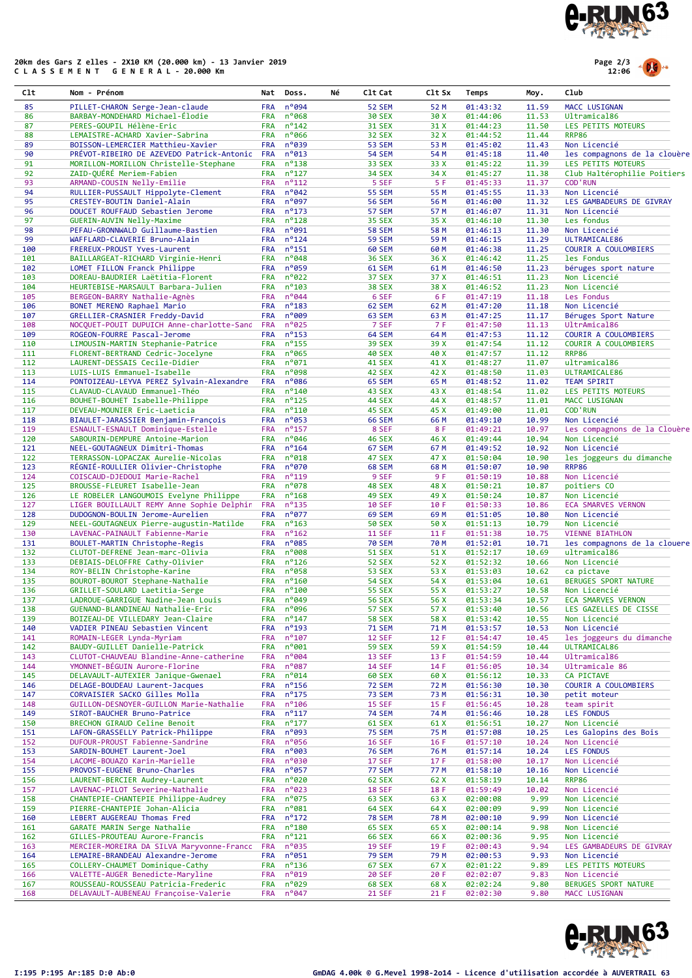

## 20km des Gars Z elles - 2X10 KM (20.000 km) - 13 Janvier 2019 C L A S S E M E N T G E N E R A L - 20.000 Km



| C1t        | Nom - Prénom                                                                   | Nat                      | Doss.                        | Νé | C1t Cat                        | C1t Sx       | Temps                | Moy.           | Club                                         |
|------------|--------------------------------------------------------------------------------|--------------------------|------------------------------|----|--------------------------------|--------------|----------------------|----------------|----------------------------------------------|
| 85         | PILLET-CHARON Serge-Jean-claude                                                | <b>FRA</b>               | n°094                        |    | <b>52 SEM</b>                  | 52 M         | 01:43:32             | 11.59          | MACC LUSIGNAN                                |
| 86         | BARBAY-MONDEHARD Michael-Élodie                                                | <b>FRA</b>               | n°068                        |    | <b>30 SEX</b>                  | 30 X         | 01:44:06             | 11.53          | Ultramical86                                 |
| 87         | PERES-GOUPIL Hélène-Eric                                                       | <b>FRA</b>               | $n^{\circ}$ 142              |    | <b>31 SEX</b>                  | 31 X         | 01:44:23             | 11.50          | LES PETITS MOTEURS                           |
| 88<br>89   | LEMAISTRE-ACHARD Xavier-Sabrina<br>BOISSON-LEMERCIER Matthieu-Xavier           | <b>FRA</b><br><b>FRA</b> | $n^{\circ}$ 066<br>$n^o$ 039 |    | <b>32 SEX</b><br><b>53 SEM</b> | 32 X<br>53 M | 01:44:52<br>01:45:02 | 11.44<br>11.43 | <b>RRP86</b><br>Non Licencié                 |
| 90         | PRÉVOT-RIBEIRO DE AZEVEDO Patrick-Antonic                                      | <b>FRA</b>               | $n^o$ 013                    |    | <b>54 SEM</b>                  | 54 M         | 01:45:18             | 11.40          | les compagnons de la clouère                 |
| 91         | MORILLON-MORILLON Christelle-Stephane                                          | <b>FRA</b>               | $n^o$ 138                    |    | <b>33 SEX</b>                  | 33 X         | 01:45:22             | 11.39          | LES PETITS MOTEURS                           |
| 92         | ZAID-QUERE Meriem-Fabien                                                       | <b>FRA</b>               | $n^o$ 127                    |    | <b>34 SEX</b>                  | 34 X         | 01:45:27             | 11.38          | Club Haltérophilie Poitiers                  |
| 93         | ARMAND-COUSIN Nelly-Emilie                                                     | <b>FRA</b>               | $n^o$ 112                    |    | 5 SEF                          | 5 F          | 01:45:33             | 11.37          | <b>COD'RUN</b>                               |
| 94<br>95   | RULLIER-PUSSAULT Hippolyte-Clement                                             | <b>FRA</b>               | $n^{\circ}042$               |    | <b>55 SEM</b>                  | 55 M         | 01:45:55             | 11.33          | Non Licencié                                 |
| 96         | CRESTEY-BOUTIN Daniel-Alain<br>DOUCET ROUFFAUD Sebastien Jerome                | <b>FRA</b><br><b>FRA</b> | n°097<br>$n^o$ 173           |    | <b>56 SEM</b><br><b>57 SEM</b> | 56 M<br>57 M | 01:46:00<br>01:46:07 | 11.32<br>11.31 | LES GAMBADEURS DE GIVRAY<br>Non Licencié     |
| 97         | GUERIN-AUVIN Nelly-Maxime                                                      | <b>FRA</b>               | $n^o$ 128                    |    | <b>35 SEX</b>                  | 35 X         | 01:46:10             | 11.30          | Les fondus                                   |
| 98         | PEFAU-GRONNWALD Guillaume-Bastien                                              | <b>FRA</b>               | n°091                        |    | <b>58 SEM</b>                  | 58 M         | 01:46:13             | 11.30          | Non Licencié                                 |
| 99         | WAFFLARD-CLAVERIE Bruno-Alain                                                  | <b>FRA</b>               | $n^{\circ}$ 124              |    | <b>59 SEM</b>                  | 59 M         | 01:46:15             | 11.29          | ULTRAMICALE86                                |
| 100        | FREREUX-PROUST Yves-Laurent                                                    | <b>FRA</b>               | $n^o$ 151                    |    | <b>60 SEM</b>                  | 60 M         | 01:46:38             | 11.25          | COURIR A COULOMBIERS                         |
| 101<br>102 | BAILLARGEAT-RICHARD Virginie-Henri<br>LOMET FILLON Franck Philippe             | <b>FRA</b><br><b>FRA</b> | $n^o048$<br>$n^o$ 059        |    | <b>36 SEX</b><br>61 SEM        | 36 X<br>61 M | 01:46:42<br>01:46:50 | 11.25<br>11.23 | les Fondus<br>béruges sport nature           |
| 103        | DOREAU-BAUDRIER Laëtitia-Florent                                               | <b>FRA</b>               | $n^{\circ}022$               |    | <b>37 SEX</b>                  | 37 X         | 01:46:51             | 11.23          | Non Licencié                                 |
| 104        | HEURTEBISE-MARSAULT Barbara-Julien                                             | <b>FRA</b>               | $n^o$ 103                    |    | <b>38 SEX</b>                  | 38 X         | 01:46:52             | 11.23          | Non Licencié                                 |
| 105        | BERGEON-BARRY Nathalie-Agnès                                                   | <b>FRA</b>               | $n^{\circ}044$               |    | 6 SEF                          | 6 F          | 01:47:19             | 11.18          | Les Fondus                                   |
| 106        | BONET MERENO Raphael Mario                                                     | <b>FRA</b>               | $n^o$ 183                    |    | 62 SEM                         | 62 M         | 01:47:20             | 11.18          | Non Licencié                                 |
| 107        | GRELLIER-CRASNIER Freddy-David                                                 | <b>FRA</b>               | $n^{\circ}009$               |    | 63 SEM                         | 63 M         | 01:47:25             | 11.17          | Béruges Sport Nature                         |
| 108<br>109 | NOCQUET-POUIT DUPUICH Anne-charlotte-Sanc<br>ROGEON-FOURRE Pascal-Jerome       | <b>FRA</b><br><b>FRA</b> | n°025<br>$n^o$ 153           |    | 7 SEF<br>64 SEM                | 7 F<br>64 M  | 01:47:50<br>01:47:53 | 11.13<br>11.12 | UltrAmical86<br>COURIR A COULOMBIERS         |
| 110        | LIMOUSIN-MARTIN Stephanie-Patrice                                              | <b>FRA</b>               | $n^o$ 155                    |    | <b>39 SEX</b>                  | 39 X         | 01:47:54             | 11.12          | COURIR A COULOMBIERS                         |
| 111        | FLORENT-BERTRAND Cedric-Jocelyne                                               | <b>FRA</b>               | $n^o$ 065                    |    | <b>40 SEX</b>                  | 40 X         | 01:47:57             | 11.12          | <b>RRP86</b>                                 |
| 112        | LAURENT-DESSAIS Cecile-Didier                                                  | <b>FRA</b>               | $n^{\circ}071$               |    | <b>41 SEX</b>                  | 41 X         | 01:48:27             | 11.07          | ultramical86                                 |
| 113        | LUIS-LUIS Emmanuel-Isabelle                                                    | <b>FRA</b>               | n°098                        |    | 42 SEX                         | 42 X         | 01:48:50             | 11.03          | ULTRAMICALE86                                |
| 114        | PONTOIZEAU-LEYVA PEREZ Sylvain-Alexandre                                       | <b>FRA</b>               | $n^o$ 086                    |    | 65 SEM                         | 65 M         | 01:48:52             | 11.02          | <b>TEAM SPIRIT</b>                           |
| 115        | CLAVAUD-CLAVAUD Emmanuel-Théo                                                  | <b>FRA</b>               | $n^{\circ}$ 140              |    | 43 SEX                         | 43 X         | 01:48:54             | 11.02          | LES PETITS MOTEURS                           |
| 116<br>117 | BOUHET-BOUHET Isabelle-Philippe<br>DEVEAU-MOUNIER Eric-Laeticia                | <b>FRA</b><br><b>FRA</b> | $n^o$ 125<br>$n^o$ 110       |    | <b>44 SEX</b><br>45 SEX        | 44 X<br>45 X | 01:48:57<br>01:49:00 | 11.01<br>11.01 | MACC LUSIGNAN<br><b>COD'RUN</b>              |
| 118        | BIAULET-JARASSIER Benjamin-François                                            | <b>FRA</b>               | $n^o$ 053                    |    | <b>66 SEM</b>                  | 66 M         | 01:49:10             | 10.99          | Non Licencié                                 |
| 119        | ESNAULT-ESNAULT Dominique-Estelle                                              | <b>FRA</b>               | $n^o$ 157                    |    | 8 SEF                          | 8 F          | 01:49:21             | 10.97          | Les compagnons de la Clouère                 |
| 120        | SABOURIN-DEMPURE Antoine-Marion                                                | <b>FRA</b>               | $n^{\circ}$ 046              |    | <b>46 SEX</b>                  | 46 X         | 01:49:44             | 10.94          | Non Licencié                                 |
| 121        | NEEL-GOUTAGNEUX Dimitri-Thomas                                                 | <b>FRA</b>               | $n^{\circ}$ 164              |    | 67 SEM                         | 67 M         | 01:49:52             | 10.92          | Non Licencié                                 |
| 122        | TERRASSON-LOPACZAK Aurelie-Nicolas                                             | <b>FRA</b>               | $n^o$ 018                    |    | <b>47 SEX</b>                  | 47 X         | 01:50:04             | 10.90          | les joggeurs du dimanche                     |
| 123        | RÉGNIÉ-ROULLIER Olivier-Christophe                                             | <b>FRA</b>               | $n^{\circ}070$               |    | <b>68 SEM</b>                  | 68 M         | 01:50:07             | 10.90          | <b>RRP86</b>                                 |
| 124<br>125 | COISCAUD-DJEDOUI Marie-Rachel<br>BROUSSE-FLEURET Isabelle-Jean                 | <b>FRA</b><br><b>FRA</b> | $n^o$ 119<br>$n^o$ 078       |    | 9 SEF<br>48 SEX                | 9 F<br>48 X  | 01:50:19<br>01:50:21 | 10.88<br>10.87 | Non Licencié<br>poitiers CO                  |
| 126        | LE ROBELER LANGOUMOIS Evelyne Philippe                                         | <b>FRA</b>               | $n^o$ 168                    |    | <b>49 SEX</b>                  | 49 X         | 01:50:24             | 10.87          | Non Licencié                                 |
| 127        | LIGER BOUILLAULT REMY Anne Sophie Delphir                                      | <b>FRA</b>               | $n^o$ 135                    |    | <b>10 SEF</b>                  | 10 F         | 01:50:33             | 10.86          | <b>ECA SMARVES VERNON</b>                    |
| 128        | DUDOGNON-BOULIN Jerome-Aurelien                                                | <b>FRA</b>               | $n^o$ 077                    |    | <b>69 SEM</b>                  | 69 M         | 01:51:05             | 10.80          | Non Licencié                                 |
| 129        | NEEL-GOUTAGNEUX Pierre-augustin-Matilde                                        | <b>FRA</b>               | $n^o$ 163                    |    | <b>50 SEX</b>                  | 50 X         | 01:51:13             | 10.79          | Non Licencié                                 |
| 130        | LAVENAC-PAINAULT Fabienne-Marie                                                | <b>FRA</b>               | $n^o$ 162                    |    | <b>11 SEF</b>                  | 11F          | 01:51:38             | 10.75          | <b>VIENNE BIATHLON</b>                       |
| 131<br>132 | BOULET-MARTIN Christophe-Regis<br>CLUTOT-DEFRENE Jean-marc-Olivia              | <b>FRA</b><br><b>FRA</b> | $n^o$ 085<br>n°008           |    | <b>70 SEM</b><br><b>51 SEX</b> | 70 M<br>51 X | 01:52:01<br>01:52:17 | 10.71<br>10.69 | les compagnons de la clouere<br>ultramical86 |
| 133        | DEBIAIS-DELOFFRE Cathy-Olivier                                                 | <b>FRA</b>               | $n^o$ 126                    |    | <b>52 SEX</b>                  | 52 X         | 01:52:32             | 10.66          | Non Licencié                                 |
| 134        | ROY-BELIN Christophe-Karine                                                    | <b>FRA</b>               | $n^o$ 058                    |    | <b>53 SEX</b>                  | 53 X         | 01:53:03             | 10.62          | ca pictave                                   |
| 135        | BOUROT-BOUROT Stephane-Nathalie                                                | <b>FRA</b>               | $n^o$ 160                    |    | <b>54 SEX</b>                  | 54 X         | 01:53:04             | 10.61          | BERUGES SPORT NATURE                         |
| 136        | GRILLET-SOULARD Laetitia-Serge                                                 | <b>FRA</b>               | $n^{\circ}$ 100              |    | <b>55 SEX</b>                  | 55 X         | 01:53:27             | 10.58          | Non Licencié                                 |
| 137        | LADROUE-GARRIGUE Nadine-Jean Louis                                             | <b>FRA</b>               | $n^o049$                     |    | <b>56 SEX</b>                  | 56 X         | 01:53:34             | 10.57          | <b>ECA SMARVES VERNON</b>                    |
| 138        | GUENAND-BLANDINEAU Nathalie-Eric<br>BOIZEAU-DE VILLEDARY Jean-Claire           | <b>FRA</b><br><b>FRA</b> | $n^o$ 096<br>$n^o$ 147       |    | <b>57 SEX</b>                  | 57 X         | 01:53:40             | 10.56          | LES GAZELLES DE CISSE                        |
| 139<br>140 | VADIER PINEAU Sebastien Vincent                                                | <b>FRA</b>               | $n^o$ 193                    |    | <b>58 SEX</b><br><b>71 SEM</b> | 58 X<br>71 M | 01:53:42<br>01:53:57 | 10.55<br>10.53 | Non Licencié<br>Non Licencié                 |
| 141        | ROMAIN-LEGER Lynda-Myriam                                                      | <b>FRA</b>               | $n^o$ 107                    |    | <b>12 SEF</b>                  | 12 F         | 01:54:47             | 10.45          | les joggeurs du dimanche                     |
| 142        | BAUDY-GUILLET Danielle-Patrick                                                 | <b>FRA</b>               | $n^{\circ}001$               |    | <b>59 SEX</b>                  | 59 X         | 01:54:59             | 10.44          | ULTRAMICAL86                                 |
| 143        | CLUTOT-CHAUVEAU Blandine-Anne-catherine                                        | <b>FRA</b>               | $n^{\circ}004$               |    | 13 SEF                         | 13 F         | 01:54:59             | 10.44          | Ultramical86                                 |
| 144        | YMONNET-BÉGUIN Aurore-Florine                                                  | <b>FRA</b>               | $n^o$ 087                    |    | <b>14 SEF</b>                  | 14 F         | 01:56:05             | 10.34          | Ultramicale 86                               |
| 145        | DELAVAULT-AUTEXIER Janique-Gwenael                                             | <b>FRA</b>               | $n^{\circ}014$               |    | <b>60 SEX</b>                  | 60 X         | 01:56:12             | 10.33          | CA PICTAVE                                   |
| 146<br>147 | DELAGE-BOUDEAU Laurent-Jacques<br>CORVAISIER SACKO Gilles Molla                | <b>FRA</b><br><b>FRA</b> | $n^o$ 156<br>$n^o$ 175       |    | <b>72 SEM</b><br><b>73 SEM</b> | 72 M<br>73 M | 01:56:30<br>01:56:31 | 10.30<br>10.30 | COURIR A COULOMBIERS<br>petit moteur         |
| 148        | GUILLON-DESNOYER-GUILLON Marie-Nathalie                                        | <b>FRA</b>               | $n^o$ 106                    |    | <b>15 SEF</b>                  | 15 F         | 01:56:45             | 10.28          | team spirit                                  |
| 149        | SIROT-BAUCHER Bruno-Patrice                                                    | <b>FRA</b>               | $n^o$ 117                    |    | <b>74 SEM</b>                  | 74 M         | 01:56:46             | 10.28          | <b>LES FONDUS</b>                            |
| 150        | BRECHON GIRAUD Celine Benoit                                                   | <b>FRA</b>               | $n^o$ 177                    |    | <b>61 SEX</b>                  | 61 X         | 01:56:51             | 10.27          | Non Licencié                                 |
| 151        | LAFON-GRASSELLY Patrick-Philippe                                               | <b>FRA</b>               | $n^o$ 093                    |    | <b>75 SEM</b>                  | 75 M         | 01:57:08             | 10.25          | Les Galopins des Bois                        |
| 152        | DUFOUR-PROUST Fabienne-Sandrine                                                | <b>FRA</b>               | $n^o$ 056                    |    | <b>16 SEF</b>                  | 16F          | 01:57:10             | 10.24          | Non Licencié                                 |
| 153        | SARDIN-BOUHET Laurent-Joel                                                     | <b>FRA</b>               | $n^o$ 003                    |    | <b>76 SEM</b>                  | 76 M         | 01:57:14             | 10.24          | <b>LES FONDUS</b>                            |
| 154<br>155 | LACOME-BOUAZO Karin-Marielle<br>PROVOST-EUGENE Bruno-Charles                   | <b>FRA</b><br><b>FRA</b> | $n^o$ 030<br>$n^o$ 057       |    | 17 SEF<br>77 SEM               | 17 F<br>77 M | 01:58:00<br>01:58:10 | 10.17<br>10.16 | Non Licencié<br>Non Licencié                 |
| 156        | LAURENT-BERCIER Audrey-Laurent                                                 | <b>FRA</b>               | $n^{\circ}$ 020              |    | 62 SEX                         | 62 X         | 01:58:19             | 10.14          | <b>RRP86</b>                                 |
| 157        | LAVENAC-PILOT Severine-Nathalie                                                | <b>FRA</b>               | $n^{\circ}023$               |    | <b>18 SEF</b>                  | 18 F         | 01:59:49             | 10.02          | Non Licencié                                 |
| 158        | CHANTEPIE-CHANTEPIE Philippe-Audrey                                            | <b>FRA</b>               | $n^o$ 075                    |    | <b>63 SEX</b>                  | 63 X         | 02:00:08             | 9.99           | Non Licencié                                 |
| 159        | PIERRE-CHANTEPIE Johan-Alicia                                                  | <b>FRA</b>               | $n^o$ 081                    |    | <b>64 SEX</b>                  | 64 X         | 02:00:09             | 9.99           | Non Licencié                                 |
| 160        | LEBERT AUGEREAU Thomas Fred                                                    | <b>FRA</b>               | $n^o$ 172                    |    | <b>78 SEM</b>                  | 78 M         | 02:00:10             | 9.99           | Non Licencié                                 |
| 161        | GARATE MARIN Serge Nathalie                                                    | <b>FRA</b>               | $n^o$ 180                    |    | <b>65 SEX</b>                  | 65 X         | 02:00:14             | 9.98           | Non Licencié                                 |
| 162        | GILLES-PROUTEAU Aurore-Francis                                                 | <b>FRA</b><br><b>FRA</b> | $n^o$ 121<br>$n^o$ 035       |    | <b>66 SEX</b><br><b>19 SEF</b> | 66 X<br>19 F | 02:00:36             | 9.95           | Non Licencié<br>LES GAMBADEURS DE GIVRAY     |
| 163<br>164 | MERCIER-MOREIRA DA SILVA Maryvonne-Francc<br>LEMAIRE-BRANDEAU Alexandre-Jerome | <b>FRA</b>               | $n^o$ 051                    |    | <b>79 SEM</b>                  | 79 M         | 02:00:43<br>02:00:53 | 9.94<br>9.93   | Non Licencié                                 |
| 165        | COLLERY-CHAUMET Dominique-Cathy                                                | <b>FRA</b>               | $n^o$ 136                    |    | <b>67 SEX</b>                  | 67 X         | 02:01:22             | 9.89           | LES PETITS MOTEURS                           |
| 166        | VALETTE-AUGER Benedicte-Maryline                                               | <b>FRA</b>               | $n^o$ 019                    |    | <b>20 SEF</b>                  | 20 F         | 02:02:07             | 9.83           | Non Licencié                                 |
| 167        | ROUSSEAU-ROUSSEAU Patricia-Frederic                                            | <b>FRA</b>               | $n^{\circ}029$               |    | <b>68 SEX</b>                  | 68 X         | 02:02:24             | 9.80           | BERUGES SPORT NATURE                         |
| 168        | DELAVAULT-AUBENEAU Françoise-Valerie                                           | <b>FRA</b>               | $n^o 047$                    |    | <b>21 SEF</b>                  | 21 F         | 02:02:30             | 9.80           | MACC LUSIGNAN                                |